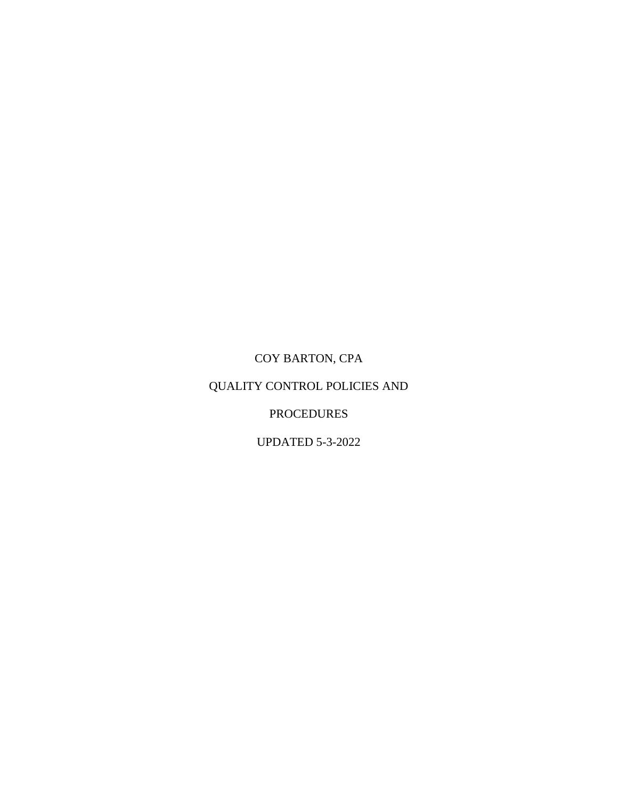# COY BARTON, CPA

# QUALITY CONTROL POLICIES AND

## PROCEDURES

UPDATED 5-3-2022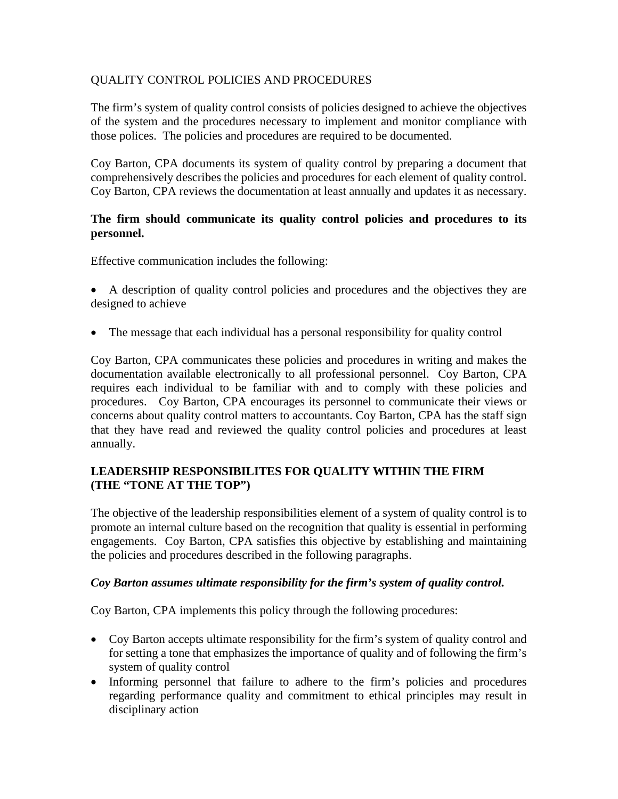## QUALITY CONTROL POLICIES AND PROCEDURES

The firm's system of quality control consists of policies designed to achieve the objectives of the system and the procedures necessary to implement and monitor compliance with those polices. The policies and procedures are required to be documented.

Coy Barton, CPA documents its system of quality control by preparing a document that comprehensively describes the policies and procedures for each element of quality control. Coy Barton, CPA reviews the documentation at least annually and updates it as necessary.

#### **The firm should communicate its quality control policies and procedures to its personnel.**

Effective communication includes the following:

• A description of quality control policies and procedures and the objectives they are designed to achieve

• The message that each individual has a personal responsibility for quality control

Coy Barton, CPA communicates these policies and procedures in writing and makes the documentation available electronically to all professional personnel. Coy Barton, CPA requires each individual to be familiar with and to comply with these policies and procedures. Coy Barton, CPA encourages its personnel to communicate their views or concerns about quality control matters to accountants. Coy Barton, CPA has the staff sign that they have read and reviewed the quality control policies and procedures at least annually.

## **LEADERSHIP RESPONSIBILITES FOR QUALITY WITHIN THE FIRM (THE "TONE AT THE TOP")**

The objective of the leadership responsibilities element of a system of quality control is to promote an internal culture based on the recognition that quality is essential in performing engagements. Coy Barton, CPA satisfies this objective by establishing and maintaining the policies and procedures described in the following paragraphs.

#### *Coy Barton assumes ultimate responsibility for the firm's system of quality control.*

- Coy Barton accepts ultimate responsibility for the firm's system of quality control and for setting a tone that emphasizes the importance of quality and of following the firm's system of quality control
- Informing personnel that failure to adhere to the firm's policies and procedures regarding performance quality and commitment to ethical principles may result in disciplinary action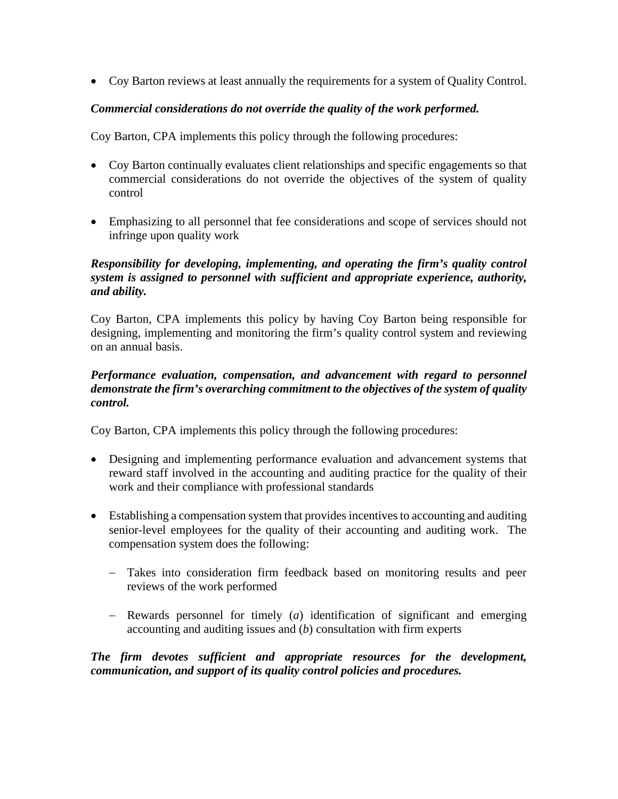• Coy Barton reviews at least annually the requirements for a system of Quality Control.

## *Commercial considerations do not override the quality of the work performed.*

Coy Barton, CPA implements this policy through the following procedures:

- Coy Barton continually evaluates client relationships and specific engagements so that commercial considerations do not override the objectives of the system of quality control
- Emphasizing to all personnel that fee considerations and scope of services should not infringe upon quality work

#### *Responsibility for developing, implementing, and operating the firm's quality control system is assigned to personnel with sufficient and appropriate experience, authority, and ability.*

Coy Barton, CPA implements this policy by having Coy Barton being responsible for designing, implementing and monitoring the firm's quality control system and reviewing on an annual basis.

#### *Performance evaluation, compensation, and advancement with regard to personnel demonstrate the firm's overarching commitment to the objectives of the system of quality control.*

Coy Barton, CPA implements this policy through the following procedures:

- Designing and implementing performance evaluation and advancement systems that reward staff involved in the accounting and auditing practice for the quality of their work and their compliance with professional standards
- Establishing a compensation system that provides incentives to accounting and auditing senior-level employees for the quality of their accounting and auditing work. The compensation system does the following:
	- − Takes into consideration firm feedback based on monitoring results and peer reviews of the work performed
	- − Rewards personnel for timely (*a*) identification of significant and emerging accounting and auditing issues and (*b*) consultation with firm experts

*The firm devotes sufficient and appropriate resources for the development, communication, and support of its quality control policies and procedures.*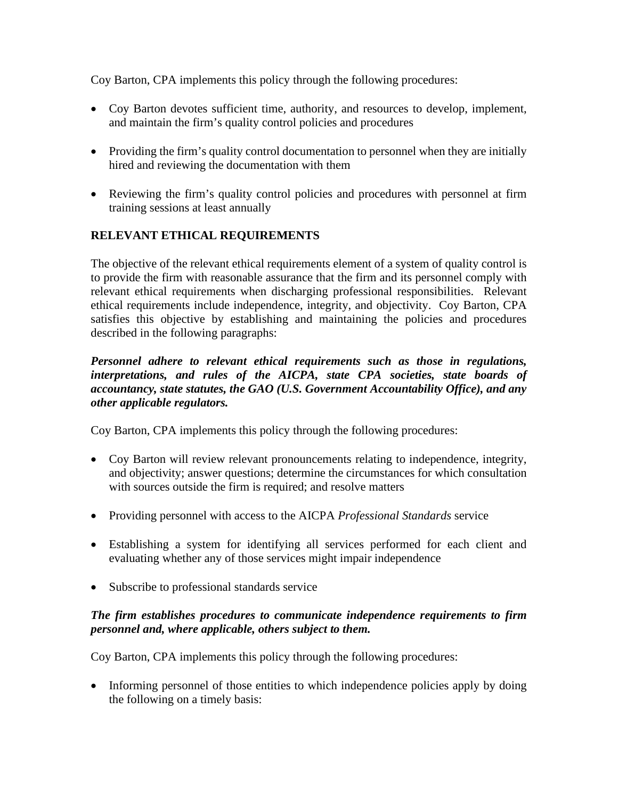Coy Barton, CPA implements this policy through the following procedures:

- Coy Barton devotes sufficient time, authority, and resources to develop, implement, and maintain the firm's quality control policies and procedures
- Providing the firm's quality control documentation to personnel when they are initially hired and reviewing the documentation with them
- Reviewing the firm's quality control policies and procedures with personnel at firm training sessions at least annually

## **RELEVANT ETHICAL REQUIREMENTS**

The objective of the relevant ethical requirements element of a system of quality control is to provide the firm with reasonable assurance that the firm and its personnel comply with relevant ethical requirements when discharging professional responsibilities. Relevant ethical requirements include independence, integrity, and objectivity. Coy Barton, CPA satisfies this objective by establishing and maintaining the policies and procedures described in the following paragraphs:

#### *Personnel adhere to relevant ethical requirements such as those in regulations, interpretations, and rules of the AICPA, state CPA societies, state boards of accountancy, state statutes, the GAO (U.S. Government Accountability Office), and any other applicable regulators.*

Coy Barton, CPA implements this policy through the following procedures:

- Coy Barton will review relevant pronouncements relating to independence, integrity, and objectivity; answer questions; determine the circumstances for which consultation with sources outside the firm is required; and resolve matters
- Providing personnel with access to the AICPA *Professional Standards* service
- Establishing a system for identifying all services performed for each client and evaluating whether any of those services might impair independence
- Subscribe to professional standards service

#### *The firm establishes procedures to communicate independence requirements to firm personnel and, where applicable, others subject to them.*

Coy Barton, CPA implements this policy through the following procedures:

• Informing personnel of those entities to which independence policies apply by doing the following on a timely basis: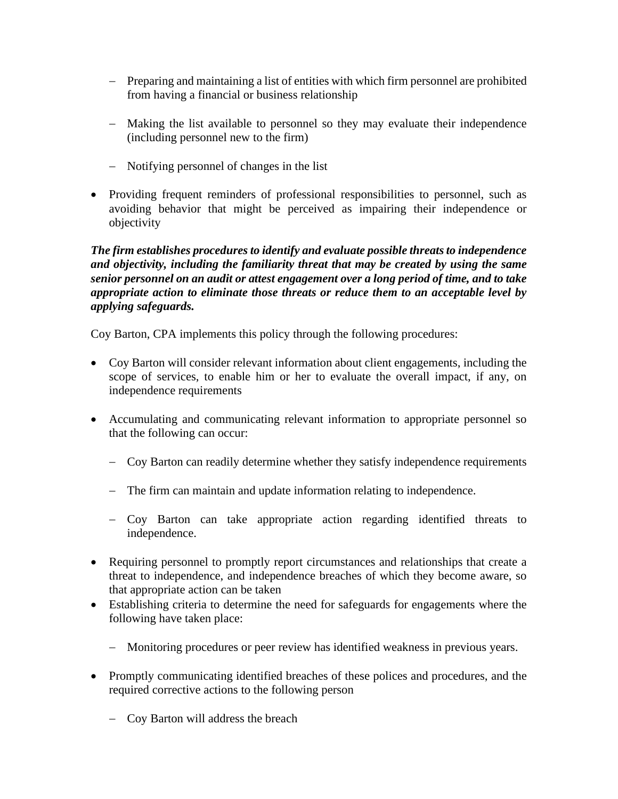- − Preparing and maintaining a list of entities with which firm personnel are prohibited from having a financial or business relationship
- − Making the list available to personnel so they may evaluate their independence (including personnel new to the firm)
- − Notifying personnel of changes in the list
- Providing frequent reminders of professional responsibilities to personnel, such as avoiding behavior that might be perceived as impairing their independence or objectivity

*The firm establishes procedures to identify and evaluate possible threats to independence and objectivity, including the familiarity threat that may be created by using the same senior personnel on an audit or attest engagement over a long period of time, and to take appropriate action to eliminate those threats or reduce them to an acceptable level by applying safeguards.*

- Coy Barton will consider relevant information about client engagements, including the scope of services, to enable him or her to evaluate the overall impact, if any, on independence requirements
- Accumulating and communicating relevant information to appropriate personnel so that the following can occur:
	- − Coy Barton can readily determine whether they satisfy independence requirements
	- − The firm can maintain and update information relating to independence.
	- − Coy Barton can take appropriate action regarding identified threats to independence.
- Requiring personnel to promptly report circumstances and relationships that create a threat to independence, and independence breaches of which they become aware, so that appropriate action can be taken
- Establishing criteria to determine the need for safeguards for engagements where the following have taken place:
	- − Monitoring procedures or peer review has identified weakness in previous years.
- Promptly communicating identified breaches of these polices and procedures, and the required corrective actions to the following person
	- − Coy Barton will address the breach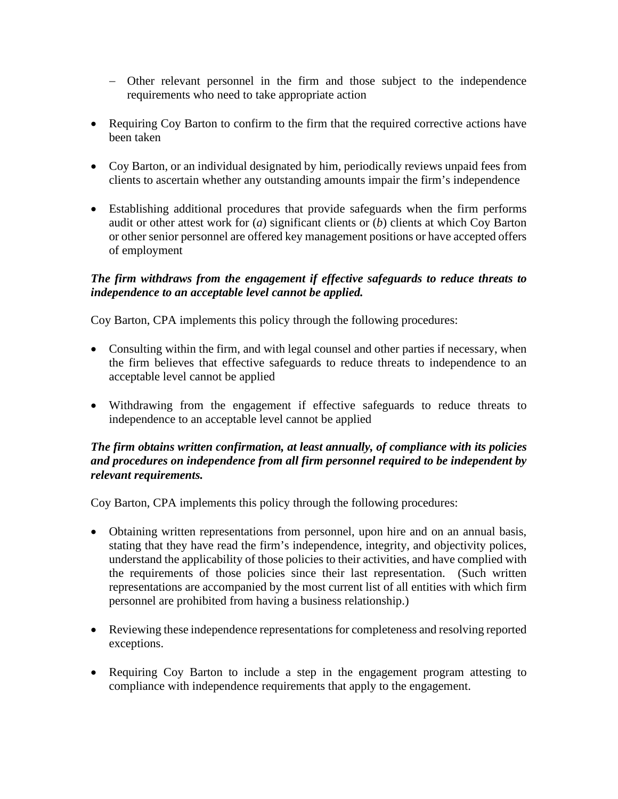- − Other relevant personnel in the firm and those subject to the independence requirements who need to take appropriate action
- Requiring Coy Barton to confirm to the firm that the required corrective actions have been taken
- Coy Barton, or an individual designated by him, periodically reviews unpaid fees from clients to ascertain whether any outstanding amounts impair the firm's independence
- Establishing additional procedures that provide safeguards when the firm performs audit or other attest work for (*a*) significant clients or (*b*) clients at which Coy Barton or other senior personnel are offered key management positions or have accepted offers of employment

## *The firm withdraws from the engagement if effective safeguards to reduce threats to independence to an acceptable level cannot be applied.*

Coy Barton, CPA implements this policy through the following procedures:

- Consulting within the firm, and with legal counsel and other parties if necessary, when the firm believes that effective safeguards to reduce threats to independence to an acceptable level cannot be applied
- Withdrawing from the engagement if effective safeguards to reduce threats to independence to an acceptable level cannot be applied

#### *The firm obtains written confirmation, at least annually, of compliance with its policies and procedures on independence from all firm personnel required to be independent by relevant requirements.*

- Obtaining written representations from personnel, upon hire and on an annual basis, stating that they have read the firm's independence, integrity, and objectivity polices, understand the applicability of those policies to their activities, and have complied with the requirements of those policies since their last representation. (Such written representations are accompanied by the most current list of all entities with which firm personnel are prohibited from having a business relationship.)
- Reviewing these independence representations for completeness and resolving reported exceptions.
- Requiring Coy Barton to include a step in the engagement program attesting to compliance with independence requirements that apply to the engagement.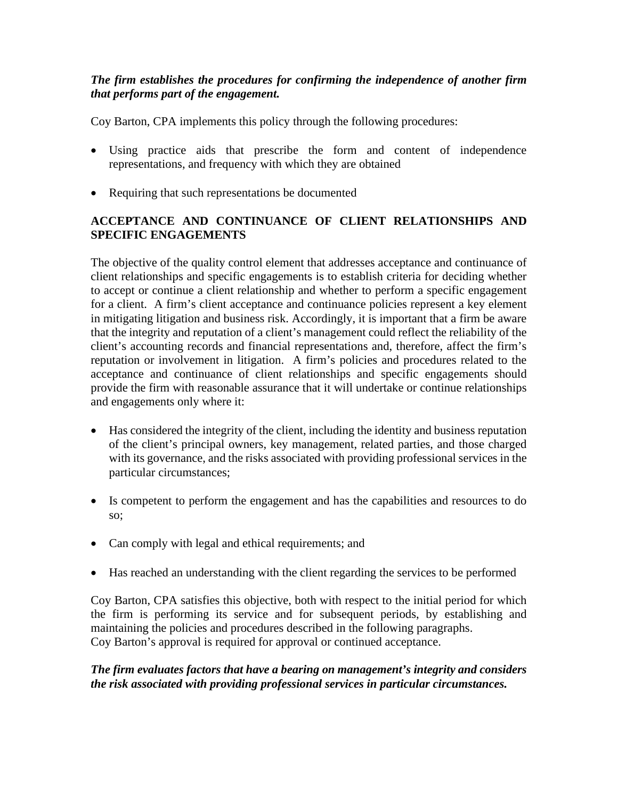## *The firm establishes the procedures for confirming the independence of another firm that performs part of the engagement.*

Coy Barton, CPA implements this policy through the following procedures:

- Using practice aids that prescribe the form and content of independence representations, and frequency with which they are obtained
- Requiring that such representations be documented

## **ACCEPTANCE AND CONTINUANCE OF CLIENT RELATIONSHIPS AND SPECIFIC ENGAGEMENTS**

The objective of the quality control element that addresses acceptance and continuance of client relationships and specific engagements is to establish criteria for deciding whether to accept or continue a client relationship and whether to perform a specific engagement for a client. A firm's client acceptance and continuance policies represent a key element in mitigating litigation and business risk. Accordingly, it is important that a firm be aware that the integrity and reputation of a client's management could reflect the reliability of the client's accounting records and financial representations and, therefore, affect the firm's reputation or involvement in litigation. A firm's policies and procedures related to the acceptance and continuance of client relationships and specific engagements should provide the firm with reasonable assurance that it will undertake or continue relationships and engagements only where it:

- Has considered the integrity of the client, including the identity and business reputation of the client's principal owners, key management, related parties, and those charged with its governance, and the risks associated with providing professional services in the particular circumstances;
- Is competent to perform the engagement and has the capabilities and resources to do so;
- Can comply with legal and ethical requirements; and
- Has reached an understanding with the client regarding the services to be performed

Coy Barton, CPA satisfies this objective, both with respect to the initial period for which the firm is performing its service and for subsequent periods, by establishing and maintaining the policies and procedures described in the following paragraphs. Coy Barton's approval is required for approval or continued acceptance.

#### *The firm evaluates factors that have a bearing on management's integrity and considers the risk associated with providing professional services in particular circumstances.*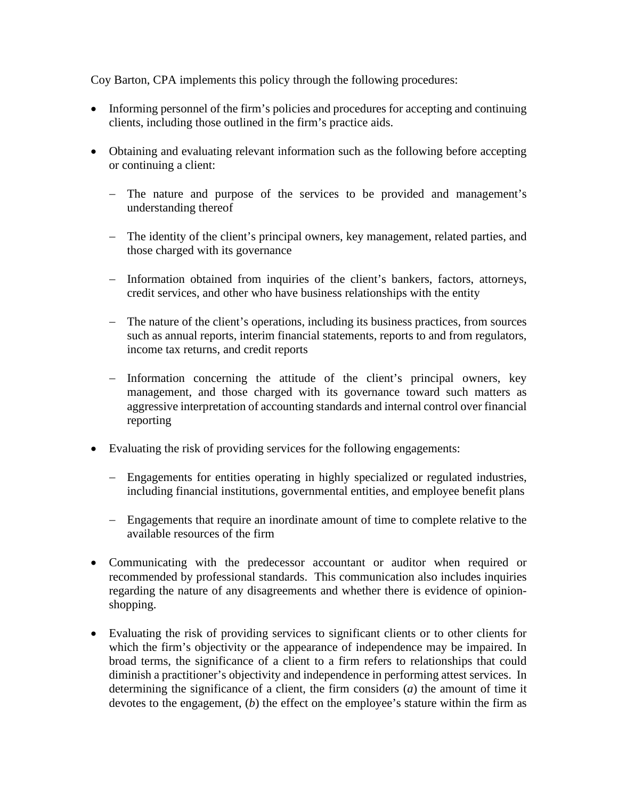- Informing personnel of the firm's policies and procedures for accepting and continuing clients, including those outlined in the firm's practice aids.
- Obtaining and evaluating relevant information such as the following before accepting or continuing a client:
	- − The nature and purpose of the services to be provided and management's understanding thereof
	- − The identity of the client's principal owners, key management, related parties, and those charged with its governance
	- − Information obtained from inquiries of the client's bankers, factors, attorneys, credit services, and other who have business relationships with the entity
	- − The nature of the client's operations, including its business practices, from sources such as annual reports, interim financial statements, reports to and from regulators, income tax returns, and credit reports
	- − Information concerning the attitude of the client's principal owners, key management, and those charged with its governance toward such matters as aggressive interpretation of accounting standards and internal control over financial reporting
- Evaluating the risk of providing services for the following engagements:
	- − Engagements for entities operating in highly specialized or regulated industries, including financial institutions, governmental entities, and employee benefit plans
	- − Engagements that require an inordinate amount of time to complete relative to the available resources of the firm
- Communicating with the predecessor accountant or auditor when required or recommended by professional standards. This communication also includes inquiries regarding the nature of any disagreements and whether there is evidence of opinionshopping.
- Evaluating the risk of providing services to significant clients or to other clients for which the firm's objectivity or the appearance of independence may be impaired. In broad terms, the significance of a client to a firm refers to relationships that could diminish a practitioner's objectivity and independence in performing attest services. In determining the significance of a client, the firm considers (*a*) the amount of time it devotes to the engagement, (*b*) the effect on the employee's stature within the firm as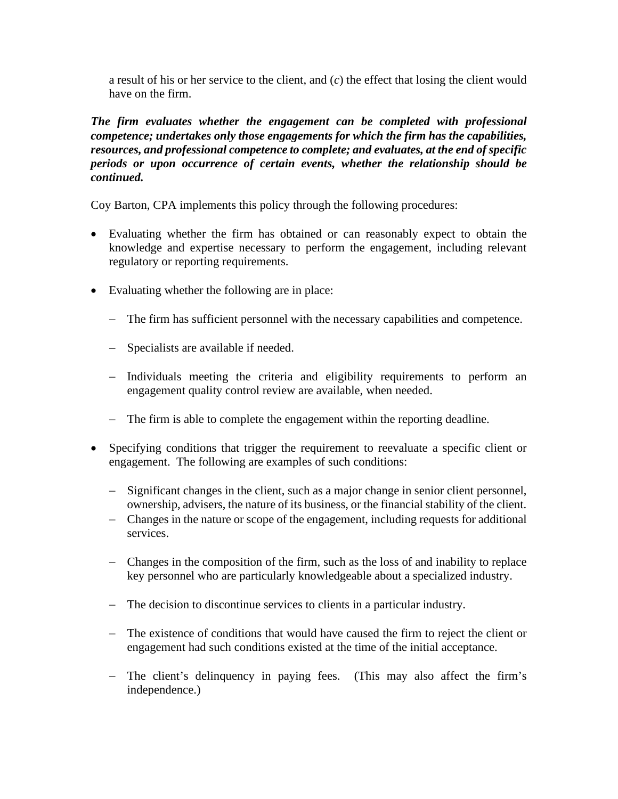a result of his or her service to the client, and (*c*) the effect that losing the client would have on the firm.

#### *The firm evaluates whether the engagement can be completed with professional competence; undertakes only those engagements for which the firm has the capabilities, resources, and professional competence to complete; and evaluates, at the end of specific periods or upon occurrence of certain events, whether the relationship should be continued.*

- Evaluating whether the firm has obtained or can reasonably expect to obtain the knowledge and expertise necessary to perform the engagement, including relevant regulatory or reporting requirements.
- Evaluating whether the following are in place:
	- − The firm has sufficient personnel with the necessary capabilities and competence.
	- − Specialists are available if needed.
	- − Individuals meeting the criteria and eligibility requirements to perform an engagement quality control review are available, when needed.
	- − The firm is able to complete the engagement within the reporting deadline.
- Specifying conditions that trigger the requirement to reevaluate a specific client or engagement. The following are examples of such conditions:
	- − Significant changes in the client, such as a major change in senior client personnel, ownership, advisers, the nature of its business, or the financial stability of the client.
	- − Changes in the nature or scope of the engagement, including requests for additional services.
	- − Changes in the composition of the firm, such as the loss of and inability to replace key personnel who are particularly knowledgeable about a specialized industry.
	- − The decision to discontinue services to clients in a particular industry.
	- − The existence of conditions that would have caused the firm to reject the client or engagement had such conditions existed at the time of the initial acceptance.
	- − The client's delinquency in paying fees. (This may also affect the firm's independence.)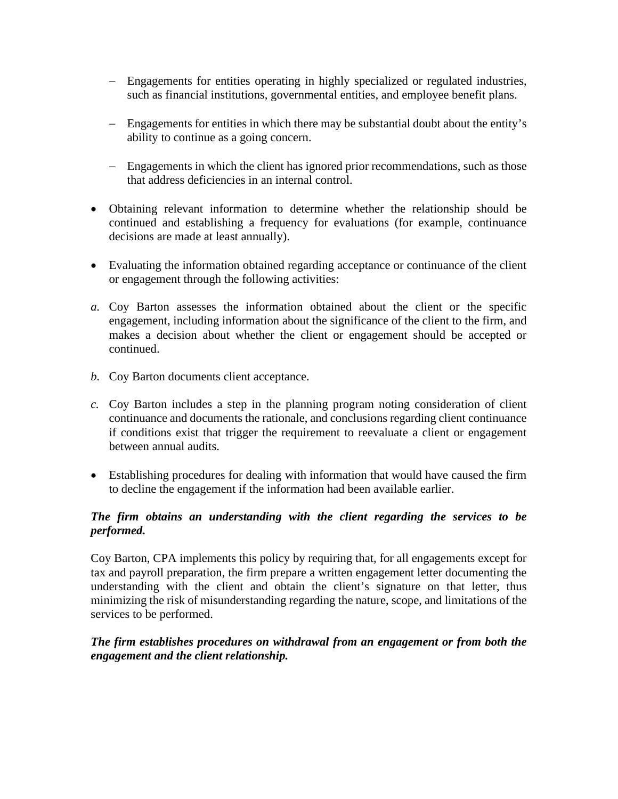- − Engagements for entities operating in highly specialized or regulated industries, such as financial institutions, governmental entities, and employee benefit plans.
- − Engagements for entities in which there may be substantial doubt about the entity's ability to continue as a going concern.
- − Engagements in which the client has ignored prior recommendations, such as those that address deficiencies in an internal control.
- Obtaining relevant information to determine whether the relationship should be continued and establishing a frequency for evaluations (for example, continuance decisions are made at least annually).
- Evaluating the information obtained regarding acceptance or continuance of the client or engagement through the following activities:
- *a.* Coy Barton assesses the information obtained about the client or the specific engagement, including information about the significance of the client to the firm, and makes a decision about whether the client or engagement should be accepted or continued.
- *b.* Coy Barton documents client acceptance.
- *c.* Coy Barton includes a step in the planning program noting consideration of client continuance and documents the rationale, and conclusions regarding client continuance if conditions exist that trigger the requirement to reevaluate a client or engagement between annual audits.
- Establishing procedures for dealing with information that would have caused the firm to decline the engagement if the information had been available earlier.

#### *The firm obtains an understanding with the client regarding the services to be performed.*

Coy Barton, CPA implements this policy by requiring that, for all engagements except for tax and payroll preparation, the firm prepare a written engagement letter documenting the understanding with the client and obtain the client's signature on that letter, thus minimizing the risk of misunderstanding regarding the nature, scope, and limitations of the services to be performed.

#### *The firm establishes procedures on withdrawal from an engagement or from both the engagement and the client relationship.*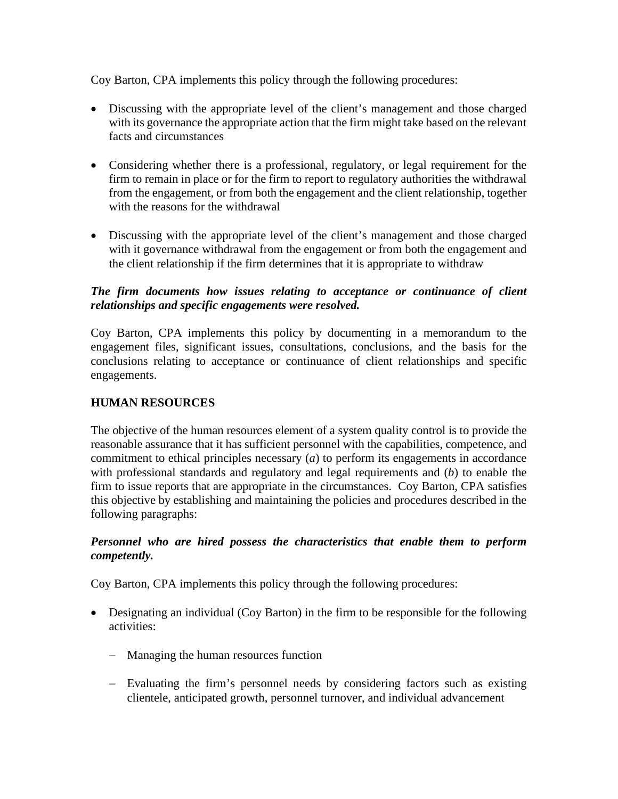Coy Barton, CPA implements this policy through the following procedures:

- Discussing with the appropriate level of the client's management and those charged with its governance the appropriate action that the firm might take based on the relevant facts and circumstances
- Considering whether there is a professional, regulatory, or legal requirement for the firm to remain in place or for the firm to report to regulatory authorities the withdrawal from the engagement, or from both the engagement and the client relationship, together with the reasons for the withdrawal
- Discussing with the appropriate level of the client's management and those charged with it governance withdrawal from the engagement or from both the engagement and the client relationship if the firm determines that it is appropriate to withdraw

## *The firm documents how issues relating to acceptance or continuance of client relationships and specific engagements were resolved.*

Coy Barton, CPA implements this policy by documenting in a memorandum to the engagement files, significant issues, consultations, conclusions, and the basis for the conclusions relating to acceptance or continuance of client relationships and specific engagements.

## **HUMAN RESOURCES**

The objective of the human resources element of a system quality control is to provide the reasonable assurance that it has sufficient personnel with the capabilities, competence, and commitment to ethical principles necessary (*a*) to perform its engagements in accordance with professional standards and regulatory and legal requirements and (*b*) to enable the firm to issue reports that are appropriate in the circumstances. Coy Barton, CPA satisfies this objective by establishing and maintaining the policies and procedures described in the following paragraphs:

#### *Personnel who are hired possess the characteristics that enable them to perform competently.*

- Designating an individual (Coy Barton) in the firm to be responsible for the following activities:
	- − Managing the human resources function
	- − Evaluating the firm's personnel needs by considering factors such as existing clientele, anticipated growth, personnel turnover, and individual advancement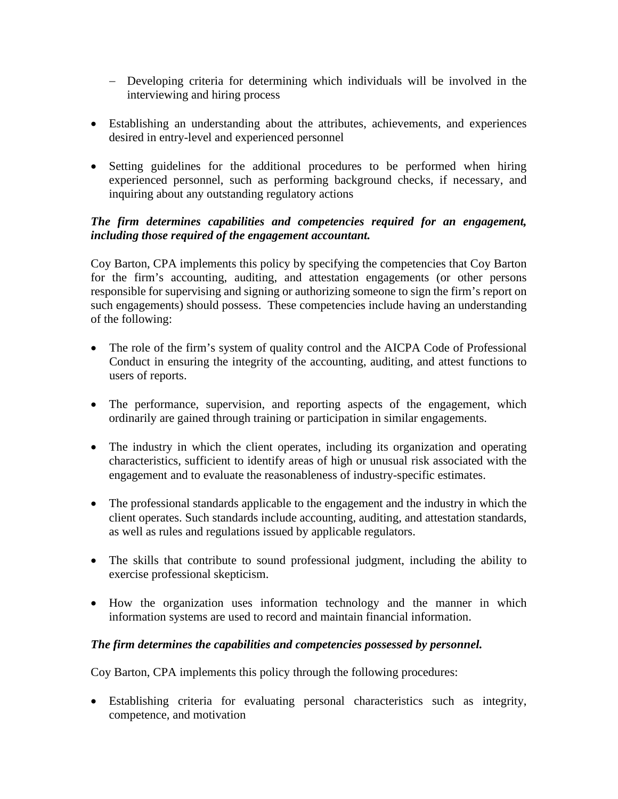- − Developing criteria for determining which individuals will be involved in the interviewing and hiring process
- Establishing an understanding about the attributes, achievements, and experiences desired in entry-level and experienced personnel
- Setting guidelines for the additional procedures to be performed when hiring experienced personnel, such as performing background checks, if necessary, and inquiring about any outstanding regulatory actions

#### *The firm determines capabilities and competencies required for an engagement, including those required of the engagement accountant.*

Coy Barton, CPA implements this policy by specifying the competencies that Coy Barton for the firm's accounting, auditing, and attestation engagements (or other persons responsible for supervising and signing or authorizing someone to sign the firm's report on such engagements) should possess. These competencies include having an understanding of the following:

- The role of the firm's system of quality control and the AICPA Code of Professional Conduct in ensuring the integrity of the accounting, auditing, and attest functions to users of reports.
- The performance, supervision, and reporting aspects of the engagement, which ordinarily are gained through training or participation in similar engagements.
- The industry in which the client operates, including its organization and operating characteristics, sufficient to identify areas of high or unusual risk associated with the engagement and to evaluate the reasonableness of industry-specific estimates.
- The professional standards applicable to the engagement and the industry in which the client operates. Such standards include accounting, auditing, and attestation standards, as well as rules and regulations issued by applicable regulators.
- The skills that contribute to sound professional judgment, including the ability to exercise professional skepticism.
- How the organization uses information technology and the manner in which information systems are used to record and maintain financial information.

#### *The firm determines the capabilities and competencies possessed by personnel.*

Coy Barton, CPA implements this policy through the following procedures:

• Establishing criteria for evaluating personal characteristics such as integrity, competence, and motivation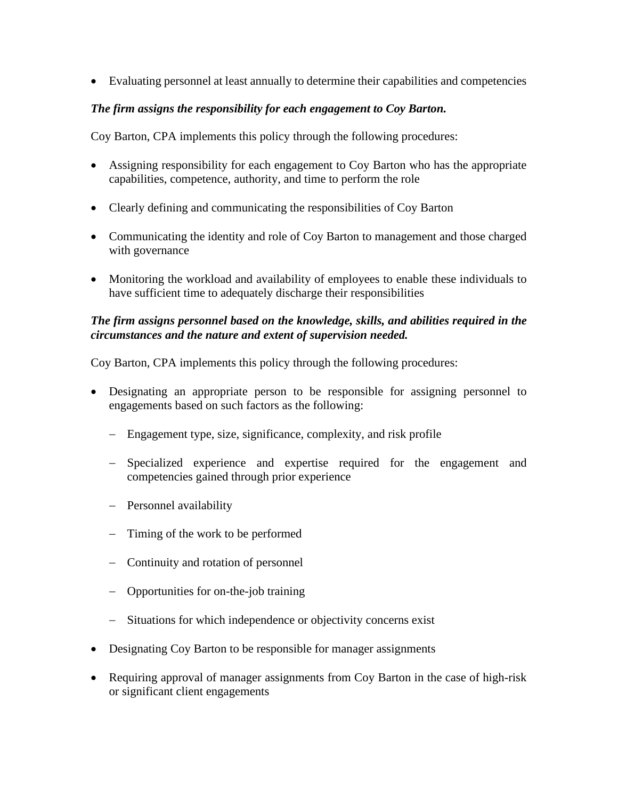• Evaluating personnel at least annually to determine their capabilities and competencies

## *The firm assigns the responsibility for each engagement to Coy Barton.*

Coy Barton, CPA implements this policy through the following procedures:

- Assigning responsibility for each engagement to Coy Barton who has the appropriate capabilities, competence, authority, and time to perform the role
- Clearly defining and communicating the responsibilities of Coy Barton
- Communicating the identity and role of Coy Barton to management and those charged with governance
- Monitoring the workload and availability of employees to enable these individuals to have sufficient time to adequately discharge their responsibilities

## *The firm assigns personnel based on the knowledge, skills, and abilities required in the circumstances and the nature and extent of supervision needed.*

- Designating an appropriate person to be responsible for assigning personnel to engagements based on such factors as the following:
	- − Engagement type, size, significance, complexity, and risk profile
	- − Specialized experience and expertise required for the engagement and competencies gained through prior experience
	- − Personnel availability
	- − Timing of the work to be performed
	- − Continuity and rotation of personnel
	- − Opportunities for on-the-job training
	- − Situations for which independence or objectivity concerns exist
- Designating Coy Barton to be responsible for manager assignments
- Requiring approval of manager assignments from Coy Barton in the case of high-risk or significant client engagements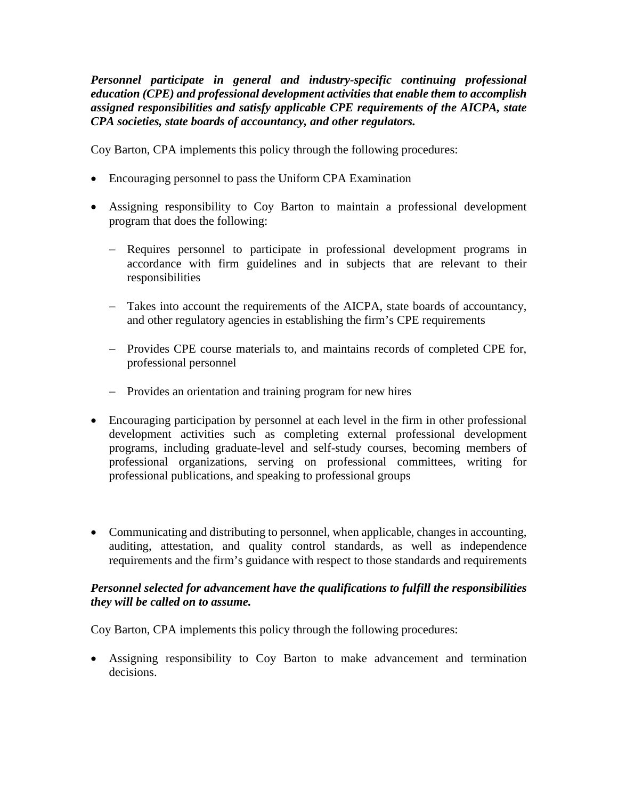*Personnel participate in general and industry-specific continuing professional education (CPE) and professional development activities that enable them to accomplish assigned responsibilities and satisfy applicable CPE requirements of the AICPA, state CPA societies, state boards of accountancy, and other regulators.*

Coy Barton, CPA implements this policy through the following procedures:

- Encouraging personnel to pass the Uniform CPA Examination
- Assigning responsibility to Coy Barton to maintain a professional development program that does the following:
	- − Requires personnel to participate in professional development programs in accordance with firm guidelines and in subjects that are relevant to their responsibilities
	- − Takes into account the requirements of the AICPA, state boards of accountancy, and other regulatory agencies in establishing the firm's CPE requirements
	- − Provides CPE course materials to, and maintains records of completed CPE for, professional personnel
	- − Provides an orientation and training program for new hires
- Encouraging participation by personnel at each level in the firm in other professional development activities such as completing external professional development programs, including graduate-level and self-study courses, becoming members of professional organizations, serving on professional committees, writing for professional publications, and speaking to professional groups
- Communicating and distributing to personnel, when applicable, changes in accounting, auditing, attestation, and quality control standards, as well as independence requirements and the firm's guidance with respect to those standards and requirements

#### *Personnel selected for advancement have the qualifications to fulfill the responsibilities they will be called on to assume.*

Coy Barton, CPA implements this policy through the following procedures:

• Assigning responsibility to Coy Barton to make advancement and termination decisions.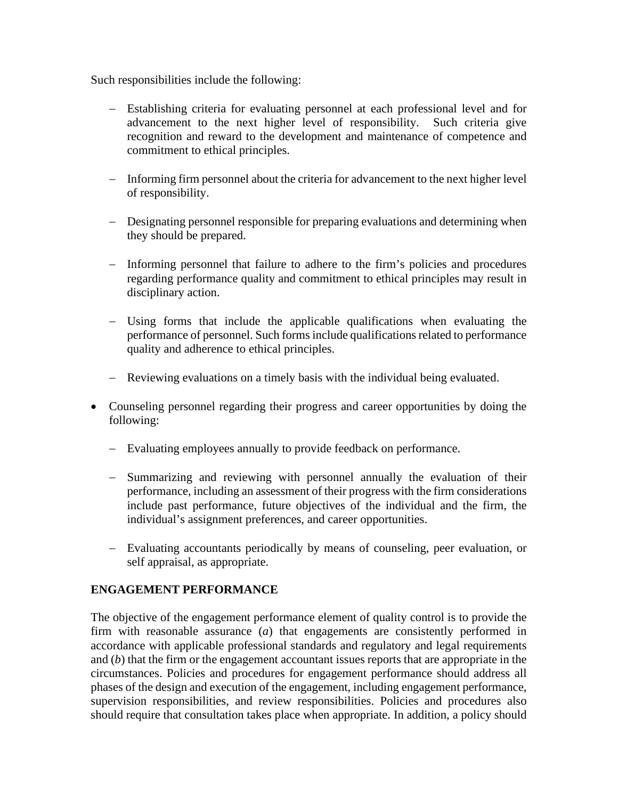Such responsibilities include the following:

- − Establishing criteria for evaluating personnel at each professional level and for advancement to the next higher level of responsibility. Such criteria give recognition and reward to the development and maintenance of competence and commitment to ethical principles.
- − Informing firm personnel about the criteria for advancement to the next higher level of responsibility.
- − Designating personnel responsible for preparing evaluations and determining when they should be prepared.
- − Informing personnel that failure to adhere to the firm's policies and procedures regarding performance quality and commitment to ethical principles may result in disciplinary action.
- − Using forms that include the applicable qualifications when evaluating the performance of personnel. Such forms include qualifications related to performance quality and adherence to ethical principles.
- − Reviewing evaluations on a timely basis with the individual being evaluated.
- Counseling personnel regarding their progress and career opportunities by doing the following:
	- − Evaluating employees annually to provide feedback on performance.
	- − Summarizing and reviewing with personnel annually the evaluation of their performance, including an assessment of their progress with the firm considerations include past performance, future objectives of the individual and the firm, the individual's assignment preferences, and career opportunities.
	- − Evaluating accountants periodically by means of counseling, peer evaluation, or self appraisal, as appropriate.

#### **ENGAGEMENT PERFORMANCE**

The objective of the engagement performance element of quality control is to provide the firm with reasonable assurance (*a*) that engagements are consistently performed in accordance with applicable professional standards and regulatory and legal requirements and (*b*) that the firm or the engagement accountant issues reports that are appropriate in the circumstances. Policies and procedures for engagement performance should address all phases of the design and execution of the engagement, including engagement performance, supervision responsibilities, and review responsibilities. Policies and procedures also should require that consultation takes place when appropriate. In addition, a policy should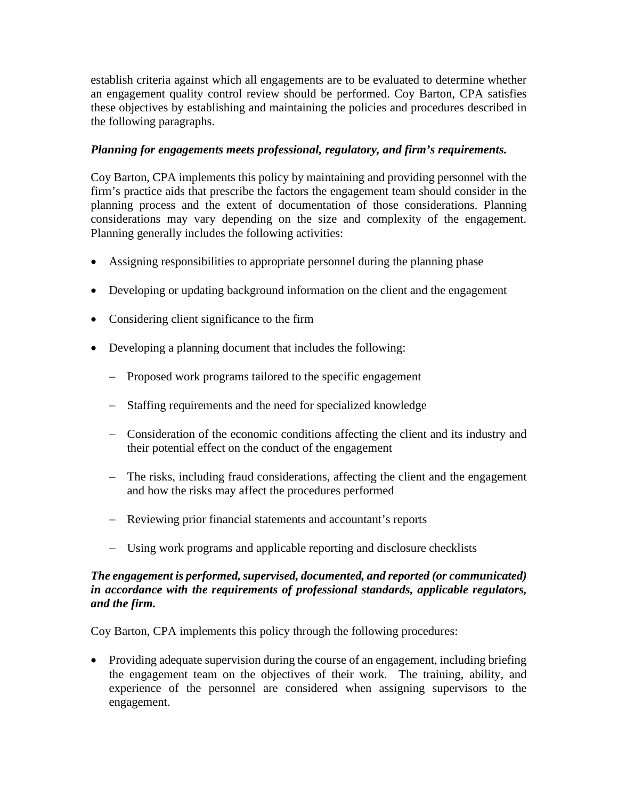establish criteria against which all engagements are to be evaluated to determine whether an engagement quality control review should be performed. Coy Barton, CPA satisfies these objectives by establishing and maintaining the policies and procedures described in the following paragraphs.

## *Planning for engagements meets professional, regulatory, and firm's requirements.*

Coy Barton, CPA implements this policy by maintaining and providing personnel with the firm's practice aids that prescribe the factors the engagement team should consider in the planning process and the extent of documentation of those considerations. Planning considerations may vary depending on the size and complexity of the engagement. Planning generally includes the following activities:

- Assigning responsibilities to appropriate personnel during the planning phase
- Developing or updating background information on the client and the engagement
- Considering client significance to the firm
- Developing a planning document that includes the following:
	- − Proposed work programs tailored to the specific engagement
	- − Staffing requirements and the need for specialized knowledge
	- − Consideration of the economic conditions affecting the client and its industry and their potential effect on the conduct of the engagement
	- − The risks, including fraud considerations, affecting the client and the engagement and how the risks may affect the procedures performed
	- − Reviewing prior financial statements and accountant's reports
	- − Using work programs and applicable reporting and disclosure checklists

## *The engagement is performed, supervised, documented, and reported (or communicated) in accordance with the requirements of professional standards, applicable regulators, and the firm.*

Coy Barton, CPA implements this policy through the following procedures:

• Providing adequate supervision during the course of an engagement, including briefing the engagement team on the objectives of their work. The training, ability, and experience of the personnel are considered when assigning supervisors to the engagement.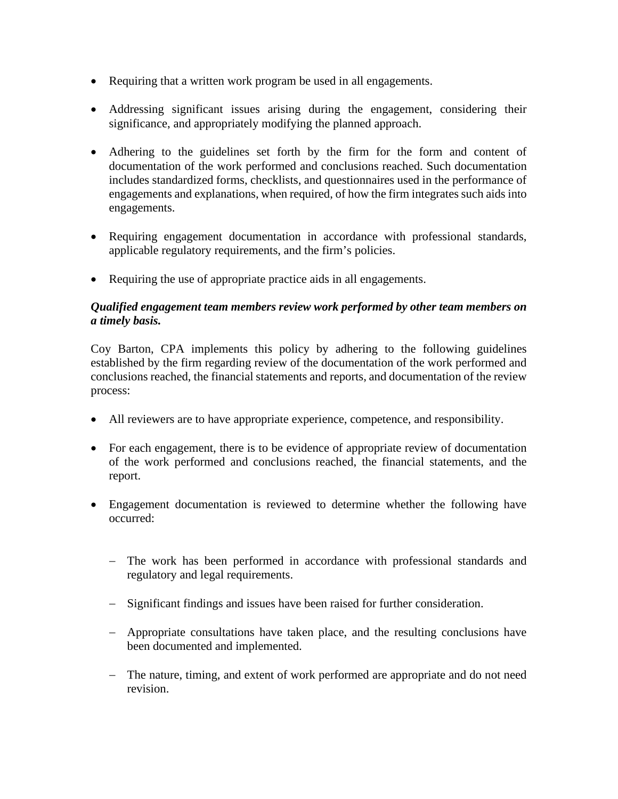- Requiring that a written work program be used in all engagements.
- Addressing significant issues arising during the engagement, considering their significance, and appropriately modifying the planned approach.
- Adhering to the guidelines set forth by the firm for the form and content of documentation of the work performed and conclusions reached. Such documentation includes standardized forms, checklists, and questionnaires used in the performance of engagements and explanations, when required, of how the firm integrates such aids into engagements.
- Requiring engagement documentation in accordance with professional standards, applicable regulatory requirements, and the firm's policies.
- Requiring the use of appropriate practice aids in all engagements.

#### *Qualified engagement team members review work performed by other team members on a timely basis.*

Coy Barton, CPA implements this policy by adhering to the following guidelines established by the firm regarding review of the documentation of the work performed and conclusions reached, the financial statements and reports, and documentation of the review process:

- All reviewers are to have appropriate experience, competence, and responsibility.
- For each engagement, there is to be evidence of appropriate review of documentation of the work performed and conclusions reached, the financial statements, and the report.
- Engagement documentation is reviewed to determine whether the following have occurred:
	- − The work has been performed in accordance with professional standards and regulatory and legal requirements.
	- − Significant findings and issues have been raised for further consideration.
	- − Appropriate consultations have taken place, and the resulting conclusions have been documented and implemented.
	- − The nature, timing, and extent of work performed are appropriate and do not need revision.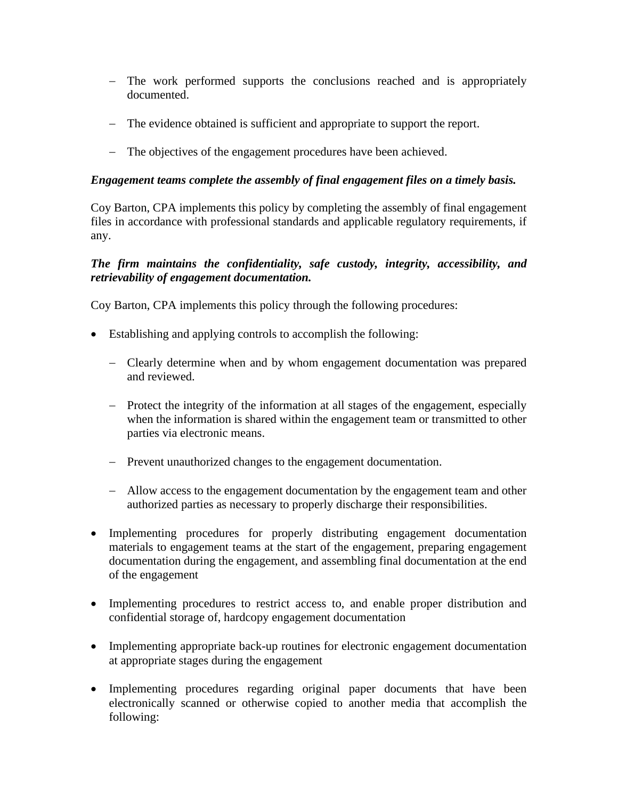- − The work performed supports the conclusions reached and is appropriately documented.
- − The evidence obtained is sufficient and appropriate to support the report.
- − The objectives of the engagement procedures have been achieved.

#### *Engagement teams complete the assembly of final engagement files on a timely basis.*

Coy Barton, CPA implements this policy by completing the assembly of final engagement files in accordance with professional standards and applicable regulatory requirements, if any.

#### *The firm maintains the confidentiality, safe custody, integrity, accessibility, and retrievability of engagement documentation.*

- Establishing and applying controls to accomplish the following:
	- − Clearly determine when and by whom engagement documentation was prepared and reviewed.
	- − Protect the integrity of the information at all stages of the engagement, especially when the information is shared within the engagement team or transmitted to other parties via electronic means.
	- − Prevent unauthorized changes to the engagement documentation.
	- − Allow access to the engagement documentation by the engagement team and other authorized parties as necessary to properly discharge their responsibilities.
- Implementing procedures for properly distributing engagement documentation materials to engagement teams at the start of the engagement, preparing engagement documentation during the engagement, and assembling final documentation at the end of the engagement
- Implementing procedures to restrict access to, and enable proper distribution and confidential storage of, hardcopy engagement documentation
- Implementing appropriate back-up routines for electronic engagement documentation at appropriate stages during the engagement
- Implementing procedures regarding original paper documents that have been electronically scanned or otherwise copied to another media that accomplish the following: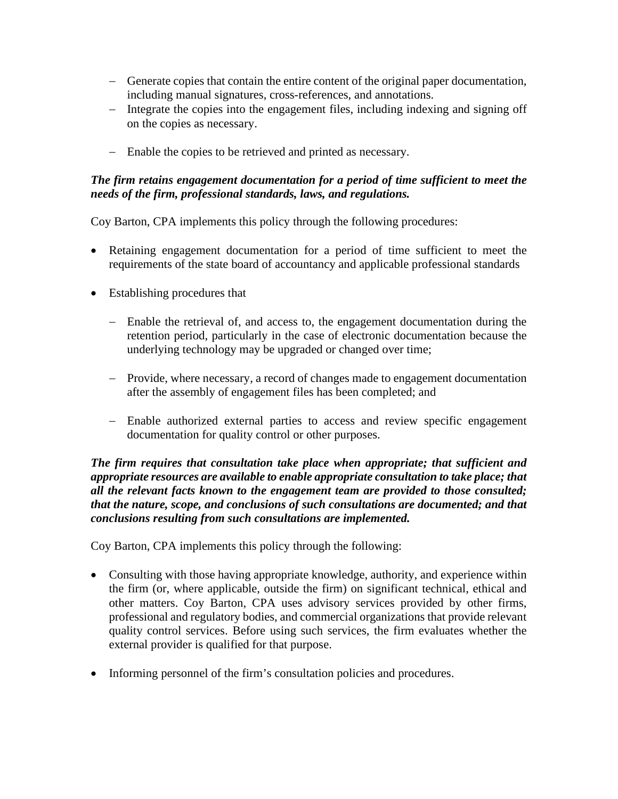- − Generate copies that contain the entire content of the original paper documentation, including manual signatures, cross-references, and annotations.
- − Integrate the copies into the engagement files, including indexing and signing off on the copies as necessary.
- − Enable the copies to be retrieved and printed as necessary.

#### *The firm retains engagement documentation for a period of time sufficient to meet the needs of the firm, professional standards, laws, and regulations.*

Coy Barton, CPA implements this policy through the following procedures:

- Retaining engagement documentation for a period of time sufficient to meet the requirements of the state board of accountancy and applicable professional standards
- Establishing procedures that
	- − Enable the retrieval of, and access to, the engagement documentation during the retention period, particularly in the case of electronic documentation because the underlying technology may be upgraded or changed over time;
	- − Provide, where necessary, a record of changes made to engagement documentation after the assembly of engagement files has been completed; and
	- − Enable authorized external parties to access and review specific engagement documentation for quality control or other purposes.

*The firm requires that consultation take place when appropriate; that sufficient and appropriate resources are available to enable appropriate consultation to take place; that all the relevant facts known to the engagement team are provided to those consulted; that the nature, scope, and conclusions of such consultations are documented; and that conclusions resulting from such consultations are implemented.*

- Consulting with those having appropriate knowledge, authority, and experience within the firm (or, where applicable, outside the firm) on significant technical, ethical and other matters. Coy Barton, CPA uses advisory services provided by other firms, professional and regulatory bodies, and commercial organizations that provide relevant quality control services. Before using such services, the firm evaluates whether the external provider is qualified for that purpose.
- Informing personnel of the firm's consultation policies and procedures.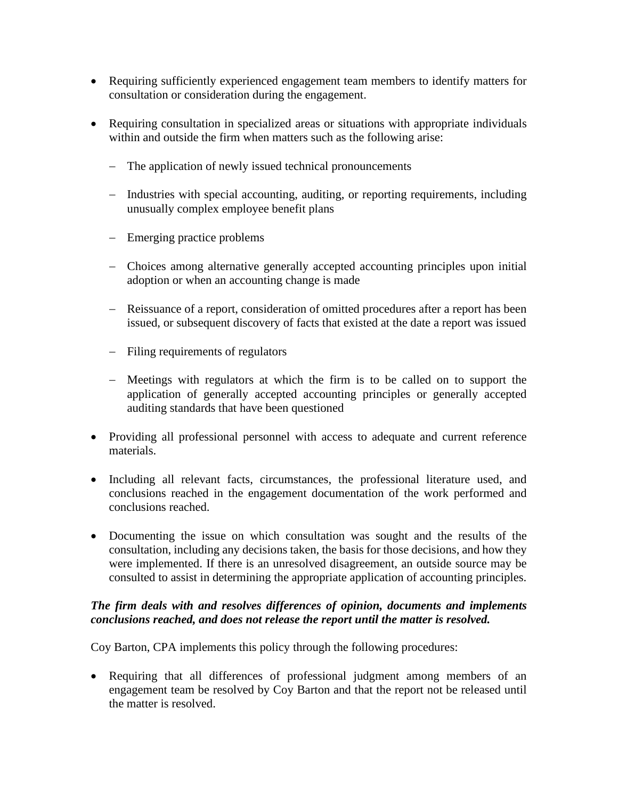- Requiring sufficiently experienced engagement team members to identify matters for consultation or consideration during the engagement.
- Requiring consultation in specialized areas or situations with appropriate individuals within and outside the firm when matters such as the following arise:
	- − The application of newly issued technical pronouncements
	- − Industries with special accounting, auditing, or reporting requirements, including unusually complex employee benefit plans
	- − Emerging practice problems
	- − Choices among alternative generally accepted accounting principles upon initial adoption or when an accounting change is made
	- − Reissuance of a report, consideration of omitted procedures after a report has been issued, or subsequent discovery of facts that existed at the date a report was issued
	- − Filing requirements of regulators
	- − Meetings with regulators at which the firm is to be called on to support the application of generally accepted accounting principles or generally accepted auditing standards that have been questioned
- Providing all professional personnel with access to adequate and current reference materials.
- Including all relevant facts, circumstances, the professional literature used, and conclusions reached in the engagement documentation of the work performed and conclusions reached.
- Documenting the issue on which consultation was sought and the results of the consultation, including any decisions taken, the basis for those decisions, and how they were implemented. If there is an unresolved disagreement, an outside source may be consulted to assist in determining the appropriate application of accounting principles.

## *The firm deals with and resolves differences of opinion, documents and implements conclusions reached, and does not release the report until the matter is resolved.*

Coy Barton, CPA implements this policy through the following procedures:

• Requiring that all differences of professional judgment among members of an engagement team be resolved by Coy Barton and that the report not be released until the matter is resolved.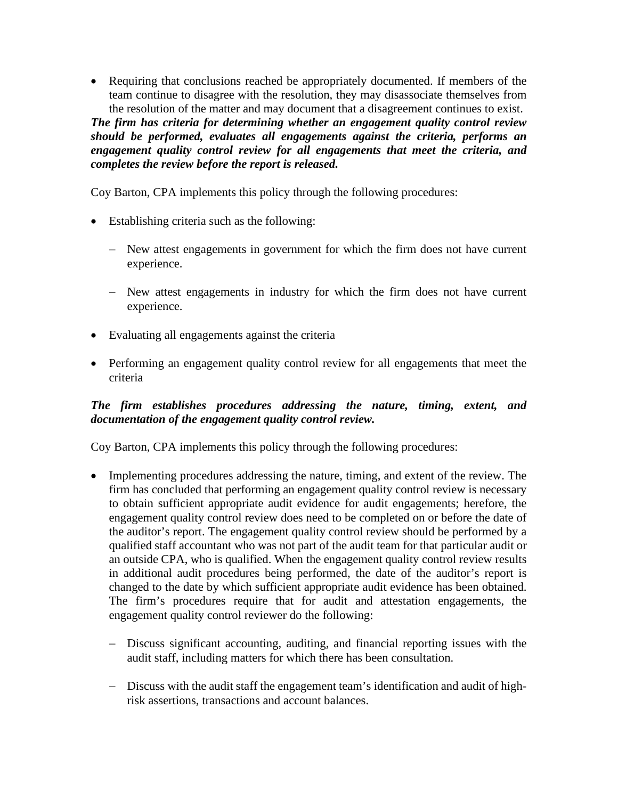• Requiring that conclusions reached be appropriately documented. If members of the team continue to disagree with the resolution, they may disassociate themselves from the resolution of the matter and may document that a disagreement continues to exist.

*The firm has criteria for determining whether an engagement quality control review should be performed, evaluates all engagements against the criteria, performs an engagement quality control review for all engagements that meet the criteria, and completes the review before the report is released.*

Coy Barton, CPA implements this policy through the following procedures:

- Establishing criteria such as the following:
	- − New attest engagements in government for which the firm does not have current experience.
	- − New attest engagements in industry for which the firm does not have current experience.
- Evaluating all engagements against the criteria
- Performing an engagement quality control review for all engagements that meet the criteria

#### *The firm establishes procedures addressing the nature, timing, extent, and documentation of the engagement quality control review.*

- Implementing procedures addressing the nature, timing, and extent of the review. The firm has concluded that performing an engagement quality control review is necessary to obtain sufficient appropriate audit evidence for audit engagements; herefore, the engagement quality control review does need to be completed on or before the date of the auditor's report. The engagement quality control review should be performed by a qualified staff accountant who was not part of the audit team for that particular audit or an outside CPA, who is qualified. When the engagement quality control review results in additional audit procedures being performed, the date of the auditor's report is changed to the date by which sufficient appropriate audit evidence has been obtained. The firm's procedures require that for audit and attestation engagements, the engagement quality control reviewer do the following:
	- − Discuss significant accounting, auditing, and financial reporting issues with the audit staff, including matters for which there has been consultation.
	- − Discuss with the audit staff the engagement team's identification and audit of highrisk assertions, transactions and account balances.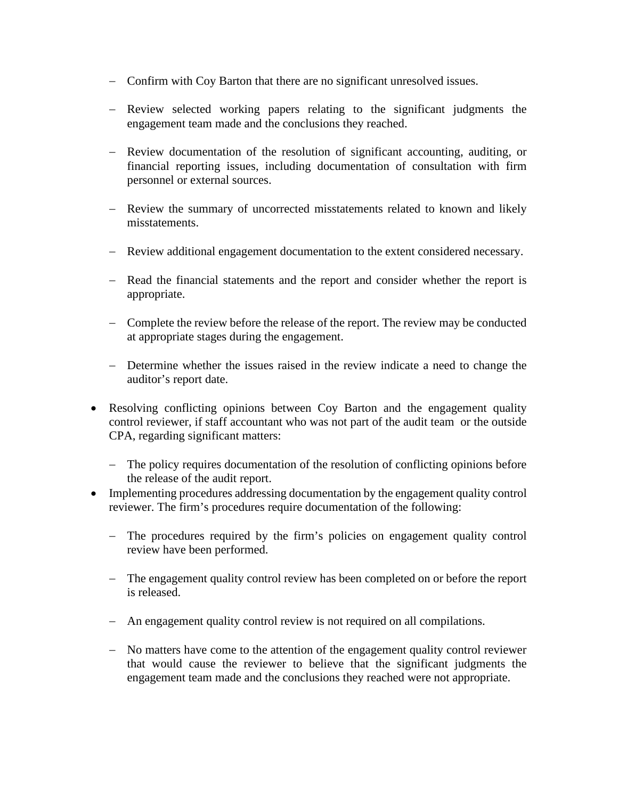- − Confirm with Coy Barton that there are no significant unresolved issues.
- − Review selected working papers relating to the significant judgments the engagement team made and the conclusions they reached.
- − Review documentation of the resolution of significant accounting, auditing, or financial reporting issues, including documentation of consultation with firm personnel or external sources.
- − Review the summary of uncorrected misstatements related to known and likely misstatements.
- − Review additional engagement documentation to the extent considered necessary.
- − Read the financial statements and the report and consider whether the report is appropriate.
- − Complete the review before the release of the report. The review may be conducted at appropriate stages during the engagement.
- − Determine whether the issues raised in the review indicate a need to change the auditor's report date.
- Resolving conflicting opinions between Coy Barton and the engagement quality control reviewer, if staff accountant who was not part of the audit team or the outside CPA, regarding significant matters:
	- − The policy requires documentation of the resolution of conflicting opinions before the release of the audit report.
- Implementing procedures addressing documentation by the engagement quality control reviewer. The firm's procedures require documentation of the following:
	- − The procedures required by the firm's policies on engagement quality control review have been performed.
	- − The engagement quality control review has been completed on or before the report is released.
	- − An engagement quality control review is not required on all compilations.
	- − No matters have come to the attention of the engagement quality control reviewer that would cause the reviewer to believe that the significant judgments the engagement team made and the conclusions they reached were not appropriate.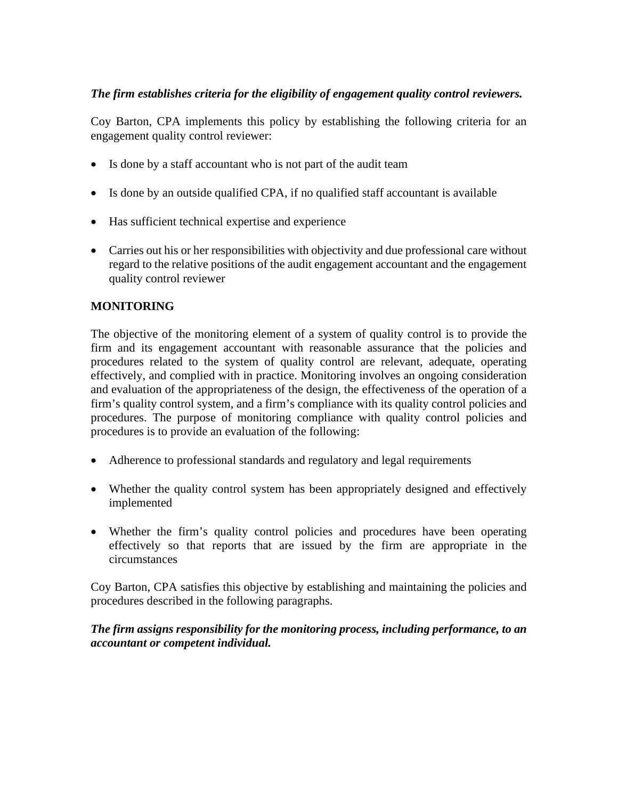## *The firm establishes criteria for the eligibility of engagement quality control reviewers.*

Coy Barton, CPA implements this policy by establishing the following criteria for an engagement quality control reviewer:

- Is done by a staff accountant who is not part of the audit team
- Is done by an outside qualified CPA, if no qualified staff accountant is available
- Has sufficient technical expertise and experience
- Carries out his or her responsibilities with objectivity and due professional care without regard to the relative positions of the audit engagement accountant and the engagement quality control reviewer

## **MONITORING**

The objective of the monitoring element of a system of quality control is to provide the firm and its engagement accountant with reasonable assurance that the policies and procedures related to the system of quality control are relevant, adequate, operating effectively, and complied with in practice. Monitoring involves an ongoing consideration and evaluation of the appropriateness of the design, the effectiveness of the operation of a firm's quality control system, and a firm's compliance with its quality control policies and procedures. The purpose of monitoring compliance with quality control policies and procedures is to provide an evaluation of the following:

- Adherence to professional standards and regulatory and legal requirements
- Whether the quality control system has been appropriately designed and effectively implemented
- Whether the firm's quality control policies and procedures have been operating effectively so that reports that are issued by the firm are appropriate in the circumstances

Coy Barton, CPA satisfies this objective by establishing and maintaining the policies and procedures described in the following paragraphs.

*The firm assigns responsibility for the monitoring process, including performance, to an accountant or competent individual.*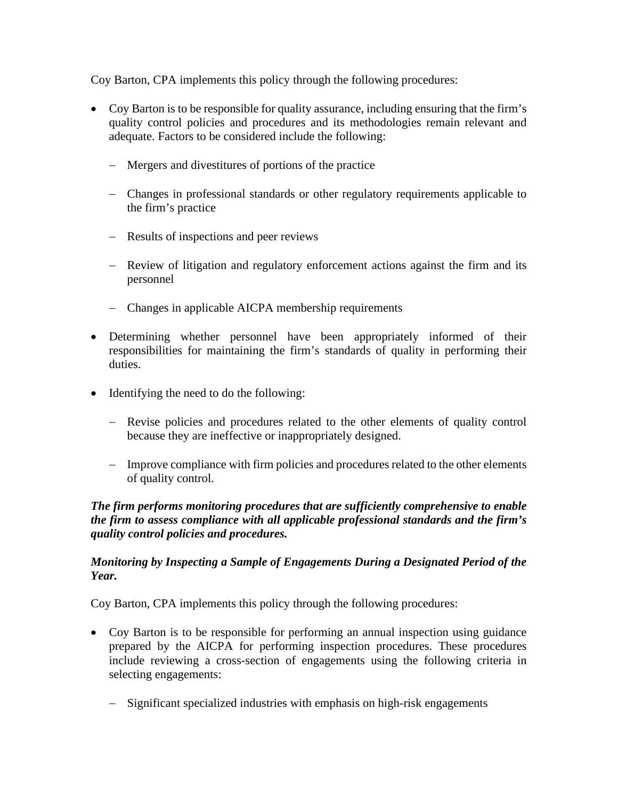Coy Barton, CPA implements this policy through the following procedures:

- Coy Barton is to be responsible for quality assurance, including ensuring that the firm's quality control policies and procedures and its methodologies remain relevant and adequate. Factors to be considered include the following:
	- − Mergers and divestitures of portions of the practice
	- − Changes in professional standards or other regulatory requirements applicable to the firm's practice
	- − Results of inspections and peer reviews
	- − Review of litigation and regulatory enforcement actions against the firm and its personnel
	- − Changes in applicable AICPA membership requirements
- Determining whether personnel have been appropriately informed of their responsibilities for maintaining the firm's standards of quality in performing their duties.
- Identifying the need to do the following:
	- − Revise policies and procedures related to the other elements of quality control because they are ineffective or inappropriately designed.
	- − Improve compliance with firm policies and procedures related to the other elements of quality control.

#### *The firm performs monitoring procedures that are sufficiently comprehensive to enable the firm to assess compliance with all applicable professional standards and the firm's quality control policies and procedures.*

#### *Monitoring by Inspecting a Sample of Engagements During a Designated Period of the Year.*

- Coy Barton is to be responsible for performing an annual inspection using guidance prepared by the AICPA for performing inspection procedures. These procedures include reviewing a cross-section of engagements using the following criteria in selecting engagements:
	- − Significant specialized industries with emphasis on high-risk engagements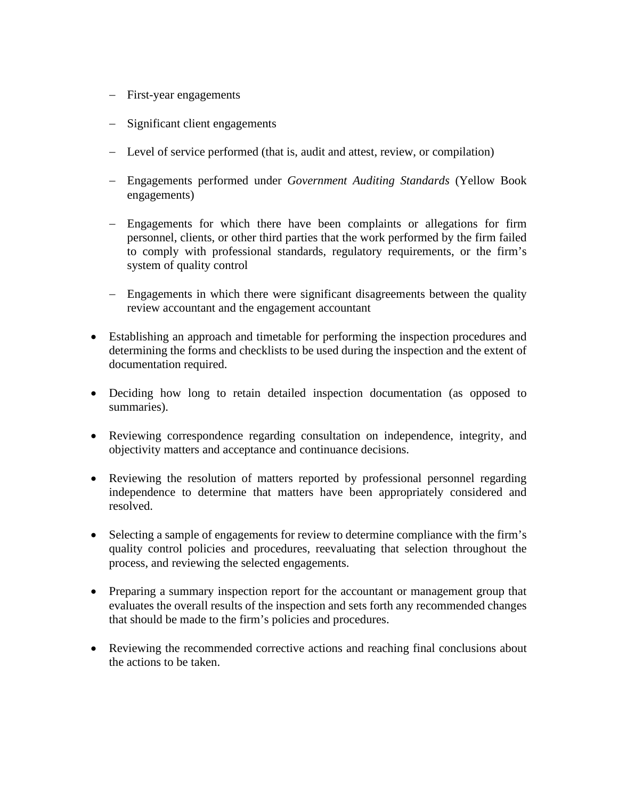- − First-year engagements
- − Significant client engagements
- − Level of service performed (that is, audit and attest, review, or compilation)
- − Engagements performed under *Government Auditing Standards* (Yellow Book engagements)
- − Engagements for which there have been complaints or allegations for firm personnel, clients, or other third parties that the work performed by the firm failed to comply with professional standards, regulatory requirements, or the firm's system of quality control
- − Engagements in which there were significant disagreements between the quality review accountant and the engagement accountant
- Establishing an approach and timetable for performing the inspection procedures and determining the forms and checklists to be used during the inspection and the extent of documentation required.
- Deciding how long to retain detailed inspection documentation (as opposed to summaries).
- Reviewing correspondence regarding consultation on independence, integrity, and objectivity matters and acceptance and continuance decisions.
- Reviewing the resolution of matters reported by professional personnel regarding independence to determine that matters have been appropriately considered and resolved.
- Selecting a sample of engagements for review to determine compliance with the firm's quality control policies and procedures, reevaluating that selection throughout the process, and reviewing the selected engagements.
- Preparing a summary inspection report for the accountant or management group that evaluates the overall results of the inspection and sets forth any recommended changes that should be made to the firm's policies and procedures.
- Reviewing the recommended corrective actions and reaching final conclusions about the actions to be taken.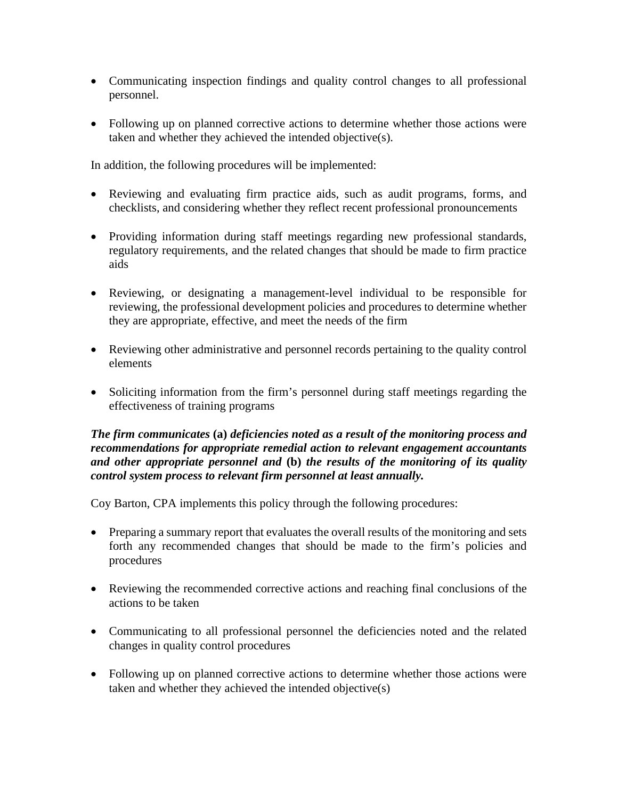- Communicating inspection findings and quality control changes to all professional personnel.
- Following up on planned corrective actions to determine whether those actions were taken and whether they achieved the intended objective(s).

In addition, the following procedures will be implemented:

- Reviewing and evaluating firm practice aids, such as audit programs, forms, and checklists, and considering whether they reflect recent professional pronouncements
- Providing information during staff meetings regarding new professional standards, regulatory requirements, and the related changes that should be made to firm practice aids
- Reviewing, or designating a management-level individual to be responsible for reviewing, the professional development policies and procedures to determine whether they are appropriate, effective, and meet the needs of the firm
- Reviewing other administrative and personnel records pertaining to the quality control elements
- Soliciting information from the firm's personnel during staff meetings regarding the effectiveness of training programs

#### *The firm communicates* **(a)** *deficiencies noted as a result of the monitoring process and recommendations for appropriate remedial action to relevant engagement accountants and other appropriate personnel and* **(b)** *the results of the monitoring of its quality control system process to relevant firm personnel at least annually.*

- Preparing a summary report that evaluates the overall results of the monitoring and sets forth any recommended changes that should be made to the firm's policies and procedures
- Reviewing the recommended corrective actions and reaching final conclusions of the actions to be taken
- Communicating to all professional personnel the deficiencies noted and the related changes in quality control procedures
- Following up on planned corrective actions to determine whether those actions were taken and whether they achieved the intended objective(s)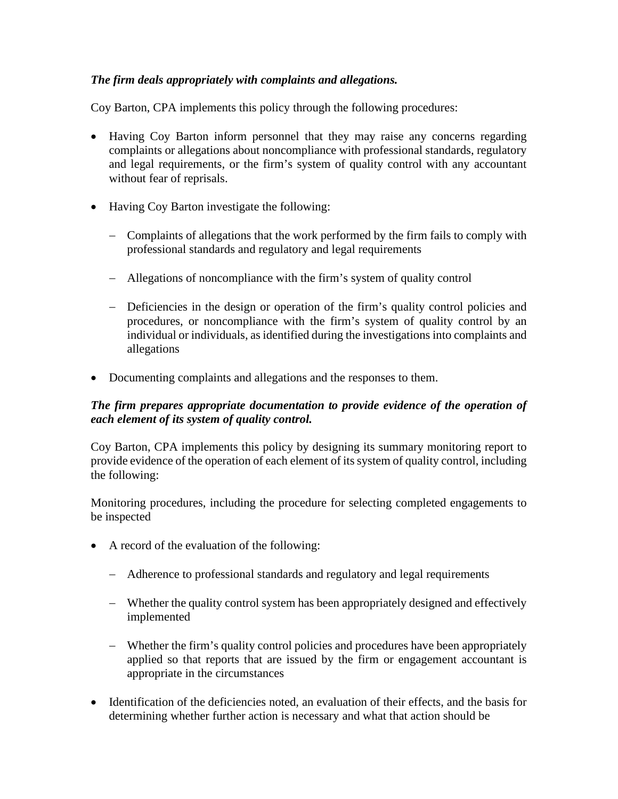## *The firm deals appropriately with complaints and allegations.*

Coy Barton, CPA implements this policy through the following procedures:

- Having Coy Barton inform personnel that they may raise any concerns regarding complaints or allegations about noncompliance with professional standards, regulatory and legal requirements, or the firm's system of quality control with any accountant without fear of reprisals.
- Having Coy Barton investigate the following:
	- − Complaints of allegations that the work performed by the firm fails to comply with professional standards and regulatory and legal requirements
	- − Allegations of noncompliance with the firm's system of quality control
	- − Deficiencies in the design or operation of the firm's quality control policies and procedures, or noncompliance with the firm's system of quality control by an individual or individuals, as identified during the investigations into complaints and allegations
- Documenting complaints and allegations and the responses to them.

## *The firm prepares appropriate documentation to provide evidence of the operation of each element of its system of quality control.*

Coy Barton, CPA implements this policy by designing its summary monitoring report to provide evidence of the operation of each element of its system of quality control, including the following:

Monitoring procedures, including the procedure for selecting completed engagements to be inspected

- A record of the evaluation of the following:
	- − Adherence to professional standards and regulatory and legal requirements
	- − Whether the quality control system has been appropriately designed and effectively implemented
	- − Whether the firm's quality control policies and procedures have been appropriately applied so that reports that are issued by the firm or engagement accountant is appropriate in the circumstances
- Identification of the deficiencies noted, an evaluation of their effects, and the basis for determining whether further action is necessary and what that action should be